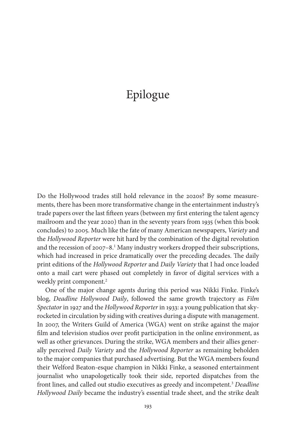## Epilogue

Do the Hollywood trades still hold relevance in the 2020s? By some measurements, there has been more transformative change in the entertainment industry's trade papers over the last fifteen years (between my first entering the talent agency mailroom and the year 2020) than in the seventy years from 1935 (when this book concludes) to 2005. Much like the fate of many American newspapers, *Variety* and the *Hollywood Reporter* were hit hard by the combination of the digital revolution and the recession of 2007-8.<sup>1</sup> Many industry workers dropped their subscriptions, which had increased in price dramatically over the preceding decades. The daily print editions of the *Hollywood Reporter* and *Daily Variety* that I had once loaded onto a mail cart were phased out completely in favor of digital services with a weekly print component.<sup>2</sup>

One of the major change agents during this period was Nikki Finke. Finke's blog, *Deadline Hollywood Daily*, followed the same growth trajectory as *Film Spectator* in 1927 and the *Hollywood Reporter* in 1933: a young publication that skyrocketed in circulation by siding with creatives during a dispute with management. In 2007, the Writers Guild of America (WGA) went on strike against the major film and television studios over profit participation in the online environment, as well as other grievances. During the strike, WGA members and their allies generally perceived *Daily Variety* and the *Hollywood Reporter* as remaining beholden to the major companies that purchased advertising. But the WGA members found their Welford Beaton-esque champion in Nikki Finke, a seasoned entertainment journalist who unapologetically took their side, reported dispatches from the front lines, and called out studio executives as greedy and incompetent.3 *Deadline Hollywood Daily* became the industry's essential trade sheet, and the strike dealt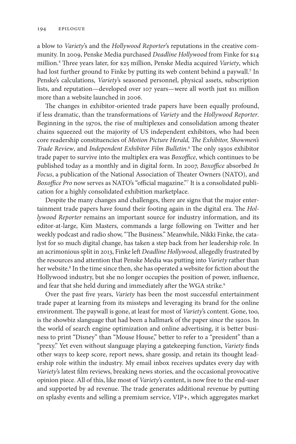a blow to *Variety*'s and the *Hollywood Reporter*'s reputations in the creative community. In 2009, Penske Media purchased *Deadline Hollywood* from Finke for \$14 million.4 Three years later, for \$25 million, Penske Media acquired *Variety*, which had lost further ground to Finke by putting its web content behind a paywall.<sup>5</sup> In Penske's calculations, *Variety*'s seasoned personnel, physical assets, subscription lists, and reputation—developed over 107 years—were all worth just \$11 million more than a website launched in 2006.

The changes in exhibitor-oriented trade papers have been equally profound, if less dramatic, than the transformations of *Variety* and the *Hollywood Reporter*. Beginning in the 1970s, the rise of multiplexes and consolidation among theater chains squeezed out the majority of US independent exhibitors, who had been core readership constituencies of *Motion Picture Herald, The Exhibitor, Showmen's Trade Review*, and *Independent Exhibitor Film Bulletin*. 6 The only 1930s exhibitor trade paper to survive into the multiplex era was *Boxoffice*, which continues to be published today as a monthly and in digital form. In 2007, *Boxoffice* absorbed *In Focus*, a publication of the National Association of Theater Owners (NATO), and *Boxoffice Pro* now serves as NATO's "official magazine."7 It is a consolidated publication for a highly consolidated exhibition marketplace.

Despite the many changes and challenges, there are signs that the major entertainment trade papers have found their footing again in the digital era. The *Hollywood Reporter* remains an important source for industry information, and its editor-at-large, Kim Masters, commands a large following on Twitter and her weekly podcast and radio show, "The Business." Meanwhile, Nikki Finke, the catalyst for so much digital change, has taken a step back from her leadership role. In an acrimonious split in 2013, Finke left *Deadline Hollywood*, allegedly frustrated by the resources and attention that Penske Media was putting into *Variety* rather than her website.<sup>8</sup> In the time since then, she has operated a website for fiction about the Hollywood industry, but she no longer occupies the position of power, influence, and fear that she held during and immediately after the WGA strike.<sup>9</sup>

Over the past five years, *Variety* has been the most successful entertainment trade paper at learning from its missteps and leveraging its brand for the online environment. The paywall is gone, at least for most of *Variety*'s content. Gone, too, is the showbiz slanguage that had been a hallmark of the paper since the 1920s. In the world of search engine optimization and online advertising, it is better business to print "Disney" than "Mouse House," better to refer to a "president" than a "prexy." Yet even without slanguage playing a gatekeeping function, *Variety* finds other ways to keep score, report news, share gossip, and retain its thought leadership role within the industry. My email inbox receives updates every day with *Variety*'s latest film reviews, breaking news stories, and the occasional provocative opinion piece. All of this, like most of *Variety*'s content, is now free to the end-user and supported by ad revenue. The trade generates additional revenue by putting on splashy events and selling a premium service, VIP+, which aggregates market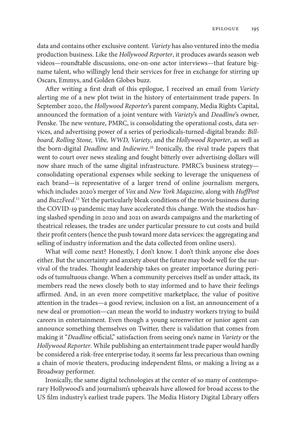data and contains other exclusive content. *Variety* has also ventured into the media production business. Like the *Hollywood Reporter*, it produces awards season web videos—roundtable discussions, one-on-one actor interviews—that feature bigname talent, who willingly lend their services for free in exchange for stirring up Oscars, Emmys, and Golden Globes buzz.

After writing a first draft of this epilogue, I received an email from *Variety* alerting me of a new plot twist in the history of entertainment trade papers. In September 2020, the *Hollywood Reporter*'s parent company, Media Rights Capital, announced the formation of a joint venture with *Variety*'s and *Deadline*'s owner, Penske. The new venture, PMRC, is consolidating the operational costs, data services, and advertising power of a series of periodicals-turned-digital brands: *Billboard, Rolling Stone, Vibe, WWD, Variety*, and the *Hollywood Reporter*, as well as the born-digital *Deadline* and *Indiewire*. 10 Ironically, the rival trade papers that went to court over news stealing and fought bitterly over advertising dollars will now share much of the same digital infrastructure. PMRC's business strategy consolidating operational expenses while seeking to leverage the uniqueness of each brand—is representative of a larger trend of online journalism mergers, which includes 2020's merger of *Vox* and *New York Magazine*, along with *HuffPost* and *BuzzFeed*. 11 Yet the particularly bleak conditions of the movie business during the COVID-19 pandemic may have accelerated this change. With the studios having slashed spending in 2020 and 2021 on awards campaigns and the marketing of theatrical releases, the trades are under particular pressure to cut costs and build their profit centers (hence the push toward more data services: the aggregating and selling of industry information and the data collected from online users).

What will come next? Honestly, I don't know. I don't think anyone else does either. But the uncertainty and anxiety about the future may bode well for the survival of the trades. Thought leadership takes on greater importance during periods of tumultuous change. When a community perceives itself as under attack, its members read the news closely both to stay informed and to have their feelings affirmed. And, in an even more competitive marketplace, the value of positive attention in the trades—a good review, inclusion on a list, an announcement of a new deal or promotion—can mean the world to industry workers trying to build careers in entertainment. Even though a young screenwriter or junior agent can announce something themselves on Twitter, there is validation that comes from making it "*Deadline* official," satisfaction from seeing one's name in *Variety* or the *Hollywood Reporter*. While publishing an entertainment trade paper would hardly be considered a risk-free enterprise today, it seems far less precarious than owning a chain of movie theaters, producing independent films, or making a living as a Broadway performer.

Ironically, the same digital technologies at the center of so many of contemporary Hollywood's and journalism's upheavals have allowed for broad access to the US film industry's earliest trade papers. The Media History Digital Library offers